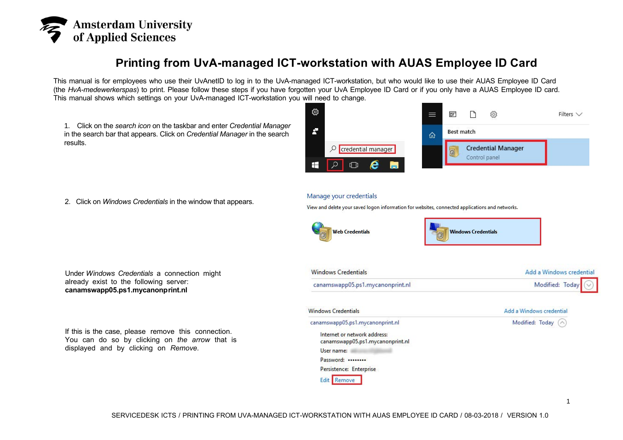

## **Printing from UvA-managed ICT-workstation with AUAS Employee ID Card**

This manual is for employees who use their UvAnetID to log in to the UvA-managed ICT-workstation, but who would like to use their AUAS Employee ID Card (the *HvA-medewerkerspas*) to print. Please follow these steps if you have forgotten your UvA Employee ID Card or if you only have a AUAS Employee ID card. This manual shows which settings on your UvA-managed ICT-workstation you will need to change.

1. Click on the *search icon* on the taskbar and enter *Credential Manager* in the search bar that appears. Click on *Credential Manager* in the search results.



2. Click on *Windows Credentials* in the window that appears.

## Manage your credentials

View and delete your saved logon information for websites, connected applications and networks.





| <b>Windows Credentials</b>       | Add a Windows credential        |
|----------------------------------|---------------------------------|
| canamswapp05.ps1.mycanonprint.nl | Modified: Today $\boxed{\odot}$ |

| Windows Credentials                                              | Add a Windows credential |
|------------------------------------------------------------------|--------------------------|
| canamswapp05.ps1.mycanonprint.nl                                 | Modified: Today (^)      |
| Internet or network address:<br>canamswapp05.ps1.mycanonprint.nl |                          |
| User name:                                                       |                          |
| Password:                                                        |                          |
| Persistence: Enterprise                                          |                          |
| Edit Remove                                                      |                          |

Under *Windows Credentials* a connection might already exist to the following server: **canamswapp05.ps1.mycanonprint.nl**

If this is the case, please remove this connection. You can do so by clicking on *the arrow* that is displayed and by clicking on *Remove.*